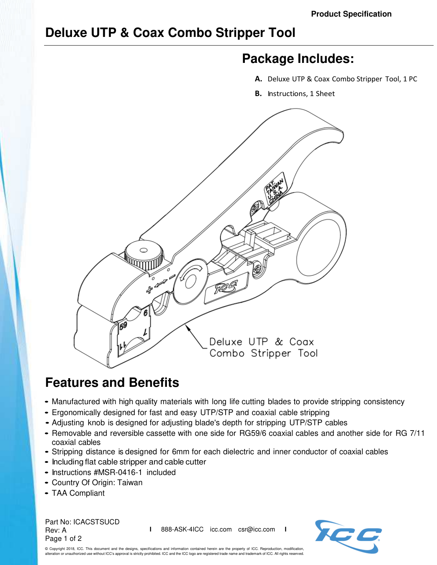## **Deluxe UTP & Coax Combo Stripper Tool**

## **Package Includes:**

- **A.** Deluxe UTP & Coax Combo Stripper Tool, 1 PC
- **B.** Instructions, 1 Sheet



## **Features and Benefits**

- Manufactured with high quality materials with long life cutting blades to provide stripping consistency
- Ergonomically designed for fast and easy UTP/STP and coaxial cable stripping
- Adjusting knob is designed for adjusting blade's depth for stripping UTP/STP cables
- Removable and reversible cassette with one side for RG59/6 coaxial cables and another side for RG 7/11 coaxial cables
- Stripping distance is designed for 6mm for each dielectric and inner conductor of coaxial cables
- Including flat cable stripper and cable cutter
- Instructions #MSR-0416-1 included
- Country Of Origin: Taiwan
- TAA Compliant

Part No: ICACSTSUCD Rev: A Page 1 of 2

**I** 888-ASK-4ICC icc.com csr@icc.com **I**



© Copyright 2018, ICC. This document and the designs, specifications and information contained herein are the property of ICC. Reproduction, modification, alteration or unauthorized use without ICC's approval is strictly prohibited. ICC and the ICC logo are registered trade name and trademark of ICC. All rights reserved.